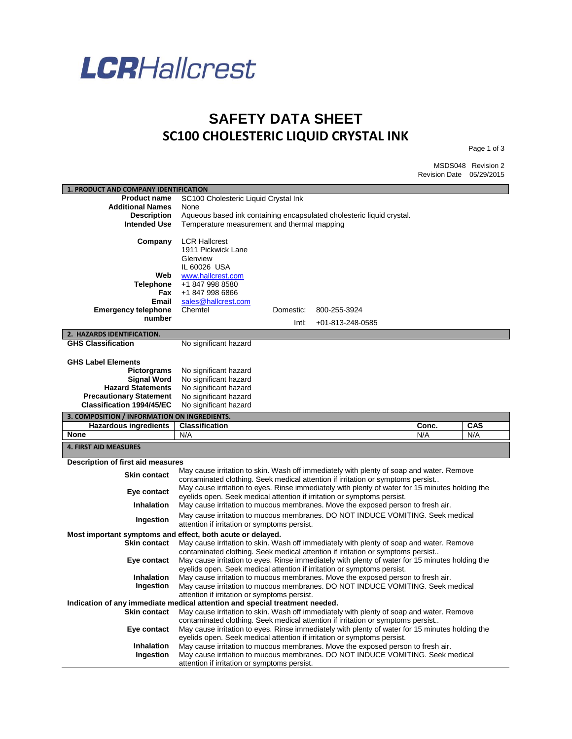

## **SAFETY DATA SHEET SC100 CHOLESTERIC LIQUID CRYSTAL INK**

Page 1 of 3

MSDS048 Revision 2 Revision Date 05/29/2015

| 1. PRODUCT AND COMPANY IDENTIFICATION                                       |                                                |           |                                                                                                                                                                             |       |     |
|-----------------------------------------------------------------------------|------------------------------------------------|-----------|-----------------------------------------------------------------------------------------------------------------------------------------------------------------------------|-------|-----|
| <b>Product name</b>                                                         | SC100 Cholesteric Liquid Crystal Ink           |           |                                                                                                                                                                             |       |     |
| <b>Additional Names</b>                                                     | None                                           |           |                                                                                                                                                                             |       |     |
| <b>Description</b>                                                          |                                                |           | Aqueous based ink containing encapsulated cholesteric liquid crystal.                                                                                                       |       |     |
| <b>Intended Use</b>                                                         | Temperature measurement and thermal mapping    |           |                                                                                                                                                                             |       |     |
|                                                                             |                                                |           |                                                                                                                                                                             |       |     |
| Company                                                                     | <b>LCR Hallcrest</b>                           |           |                                                                                                                                                                             |       |     |
|                                                                             | 1911 Pickwick Lane<br>Glenview                 |           |                                                                                                                                                                             |       |     |
|                                                                             | IL 60026 USA                                   |           |                                                                                                                                                                             |       |     |
| Web                                                                         | www.hallcrest.com                              |           |                                                                                                                                                                             |       |     |
| <b>Telephone</b>                                                            | +1 847 998 8580                                |           |                                                                                                                                                                             |       |     |
| Fax                                                                         | +1 847 998 6866                                |           |                                                                                                                                                                             |       |     |
| Email                                                                       | sales@hallcrest.com                            |           |                                                                                                                                                                             |       |     |
| <b>Emergency telephone</b>                                                  | Chemtel                                        | Domestic: | 800-255-3924                                                                                                                                                                |       |     |
| number                                                                      |                                                | Intl:     | $+01 - 813 - 248 - 0585$                                                                                                                                                    |       |     |
|                                                                             |                                                |           |                                                                                                                                                                             |       |     |
| 2. HAZARDS IDENTIFICATION.                                                  |                                                |           |                                                                                                                                                                             |       |     |
| <b>GHS Classification</b>                                                   | No significant hazard                          |           |                                                                                                                                                                             |       |     |
|                                                                             |                                                |           |                                                                                                                                                                             |       |     |
| <b>GHS Label Elements</b>                                                   |                                                |           |                                                                                                                                                                             |       |     |
| <b>Pictorgrams</b>                                                          | No significant hazard                          |           |                                                                                                                                                                             |       |     |
| <b>Signal Word</b>                                                          | No significant hazard<br>No significant hazard |           |                                                                                                                                                                             |       |     |
| <b>Hazard Statements</b><br><b>Precautionary Statement</b>                  |                                                |           |                                                                                                                                                                             |       |     |
| <b>Classification 1994/45/EC</b>                                            | No significant hazard<br>No significant hazard |           |                                                                                                                                                                             |       |     |
|                                                                             |                                                |           |                                                                                                                                                                             |       |     |
|                                                                             |                                                |           |                                                                                                                                                                             |       |     |
| 3. COMPOSITION / INFORMATION ON INGREDIENTS.                                |                                                |           |                                                                                                                                                                             |       |     |
| <b>Hazardous ingredients</b>                                                | <b>Classification</b>                          |           |                                                                                                                                                                             | Conc. | CAS |
| None                                                                        | N/A                                            |           |                                                                                                                                                                             | N/A   | N/A |
| <b>4. FIRST AID MEASURES</b>                                                |                                                |           |                                                                                                                                                                             |       |     |
|                                                                             |                                                |           |                                                                                                                                                                             |       |     |
| Description of first aid measures                                           |                                                |           |                                                                                                                                                                             |       |     |
| <b>Skin contact</b>                                                         |                                                |           | May cause irritation to skin. Wash off immediately with plenty of soap and water. Remove<br>contaminated clothing. Seek medical attention if irritation or symptoms persist |       |     |
|                                                                             |                                                |           | May cause irritation to eyes. Rinse immediately with plenty of water for 15 minutes holding the                                                                             |       |     |
| Eye contact                                                                 |                                                |           | eyelids open. Seek medical attention if irritation or symptoms persist.                                                                                                     |       |     |
| Inhalation                                                                  |                                                |           | May cause irritation to mucous membranes. Move the exposed person to fresh air.                                                                                             |       |     |
|                                                                             |                                                |           | May cause irritation to mucous membranes. DO NOT INDUCE VOMITING. Seek medical                                                                                              |       |     |
| Ingestion                                                                   | attention if irritation or symptoms persist.   |           |                                                                                                                                                                             |       |     |
| Most important symptoms and effect, both acute or delayed.                  |                                                |           |                                                                                                                                                                             |       |     |
| <b>Skin contact</b>                                                         |                                                |           | May cause irritation to skin. Wash off immediately with plenty of soap and water. Remove                                                                                    |       |     |
|                                                                             |                                                |           | contaminated clothing. Seek medical attention if irritation or symptoms persist                                                                                             |       |     |
| Eye contact                                                                 |                                                |           | May cause irritation to eyes. Rinse immediately with plenty of water for 15 minutes holding the                                                                             |       |     |
|                                                                             |                                                |           | eyelids open. Seek medical attention if irritation or symptoms persist.                                                                                                     |       |     |
| Inhalation                                                                  |                                                |           | May cause irritation to mucous membranes. Move the exposed person to fresh air.                                                                                             |       |     |
| Ingestion                                                                   |                                                |           | May cause irritation to mucous membranes. DO NOT INDUCE VOMITING. Seek medical                                                                                              |       |     |
|                                                                             | attention if irritation or symptoms persist.   |           |                                                                                                                                                                             |       |     |
| Indication of any immediate medical attention and special treatment needed. |                                                |           |                                                                                                                                                                             |       |     |
| <b>Skin contact</b>                                                         |                                                |           | May cause irritation to skin. Wash off immediately with plenty of soap and water. Remove                                                                                    |       |     |
|                                                                             |                                                |           | contaminated clothing. Seek medical attention if irritation or symptoms persist                                                                                             |       |     |
| Eye contact                                                                 |                                                |           | May cause irritation to eyes. Rinse immediately with plenty of water for 15 minutes holding the                                                                             |       |     |
|                                                                             |                                                |           | eyelids open. Seek medical attention if irritation or symptoms persist.                                                                                                     |       |     |
| <b>Inhalation</b><br>Ingestion                                              |                                                |           | May cause irritation to mucous membranes. Move the exposed person to fresh air.<br>May cause irritation to mucous membranes. DO NOT INDUCE VOMITING. Seek medical           |       |     |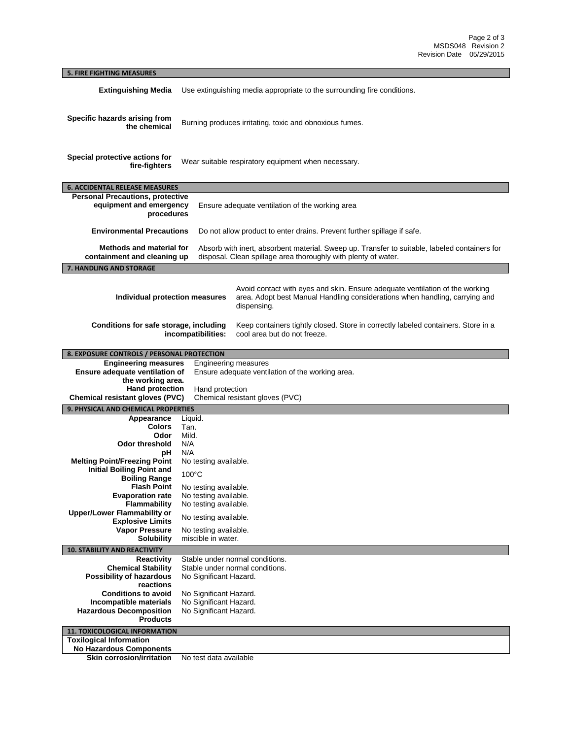## **5. FIRE FIGHTING MEASURES Extinguishing Media** Use extinguishing media appropriate to the surrounding fire conditions. **Specific hazards arising from the chemical** Burning produces irritating, toxic and obnoxious fumes. **Special protective actions for fire-fighters** Wear suitable respiratory equipment when necessary. **6. ACCIDENTAL RELEASE MEASURES Personal Precautions, protective equipment and emergency procedures** Ensure adequate ventilation of the working area **Environmental Precautions** Do not allow product to enter drains. Prevent further spillage if safe. **Methods and material for containment and cleaning up** Absorb with inert, absorbent material. Sweep up. Transfer to suitable, labeled containers for disposal. Clean spillage area thoroughly with plenty of water. **7. HANDLING AND STORAGE Individual protection measures** Avoid contact with eyes and skin. Ensure adequate ventilation of the working area. Adopt best Manual Handling considerations when handling, carrying and dispensing. **Conditions for safe storage, including incompatibilities:** Keep containers tightly closed. Store in correctly labeled containers. Store in a cool area but do not freeze. **8. EXPOSURE CONTROLS / PERSONAL PROTECTION Engineering measures** Engineering measures **Ensure adequate ventilation of the working area.**  Ensure adequate ventilation of the working area. **Hand protection** Hand protection **Chemical resistant gloves (PVC)** Chemical resistant gloves (PVC) **9. PHYSICAL AND CHEMICAL PROPERTIES Appearance** Liquid. **Colors** Tan. **Odor Odor threshold** N/A **pH** N/A **Melting Point/Freezing Point** No testing available. **Initial Boiling Point and Boiling Range** 100°C **Flash Point** No testing available. **Evaporation rate** No testing available. **Flammability** No testing available. **Upper/Lower Flammability or Explosive Limits** No testing available.<br> **Vapor Pressure** No testing available. **Pressure** No testing available.<br>**Solubility** miscible in water. miscible in water. **10. STABILITY AND REACTIVITY Reactivity** Stable under normal conditions.<br>**Chemical Stability** Stable under normal conditions. Stable under normal conditions. **Possibility of hazardous reactions** No Significant Hazard. **Conditions to avoid** No Significant Hazard.<br>**Incompatible materials** No Significant Hazard. **No Significant Hazard. Hazardous Decomposition Products** No Significant Hazard. **11. TOXICOLOGICAL INFORMATION Toxilogical Information No Hazardous Components**

**Skin corrosion/irritation** No test data available